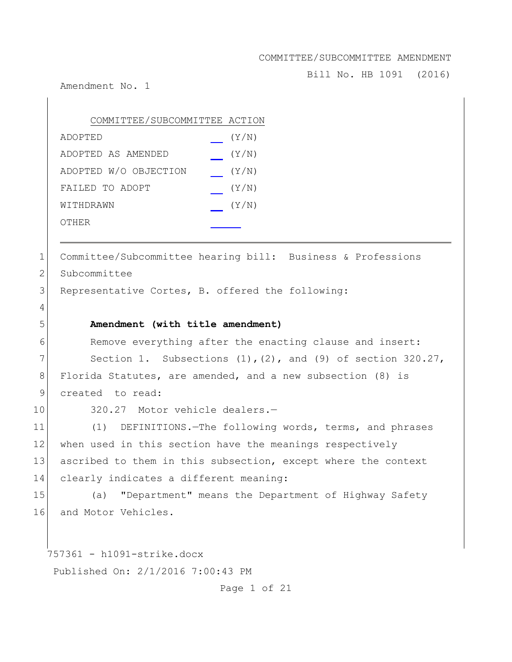Bill No. HB 1091 (2016)

Amendment No. 1

| COMMITTEE/SUBCOMMITTEE ACTION |       |
|-------------------------------|-------|
| ADOPTED                       | (Y/N) |
| ADOPTED AS AMENDED            | (Y/N) |
| ADOPTED W/O OBJECTION         | (Y/N) |
| FAILED TO ADOPT               | (Y/N) |
| WITHDRAWN                     | (Y/N) |
| OTHER                         |       |

1 Committee/Subcommittee hearing bill: Business & Professions 2 Subcommittee

3 Representative Cortes, B. offered the following:

4

## 5 **Amendment (with title amendment)**

6 Remove everything after the enacting clause and insert: 7 Section 1. Subsections  $(1)$ ,  $(2)$ , and  $(9)$  of section 320.27, 8 Florida Statutes, are amended, and a new subsection (8) is 9 created to read:

10 320.27 Motor vehicle dealers.-

11 (1) DEFINITIONS.—The following words, terms, and phrases 12 when used in this section have the meanings respectively 13 ascribed to them in this subsection, except where the context 14 clearly indicates a different meaning:

15 (a) "Department" means the Department of Highway Safety 16 and Motor Vehicles.

757361 - h1091-strike.docx

Published On: 2/1/2016 7:00:43 PM

Page 1 of 21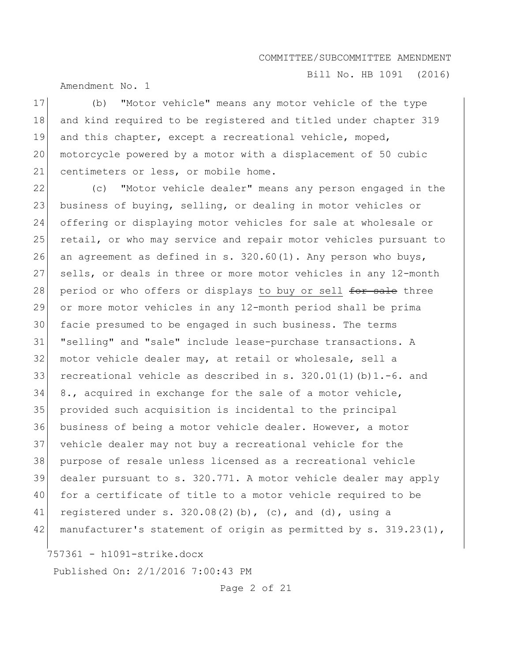Bill No. HB 1091 (2016)

Amendment No. 1

17 (b) "Motor vehicle" means any motor vehicle of the type 18 and kind required to be registered and titled under chapter 319 19 and this chapter, except a recreational vehicle, moped, 20 motorcycle powered by a motor with a displacement of 50 cubic 21 centimeters or less, or mobile home.

22 (c) "Motor vehicle dealer" means any person engaged in the 23 business of buying, selling, or dealing in motor vehicles or 24 offering or displaying motor vehicles for sale at wholesale or 25 retail, or who may service and repair motor vehicles pursuant to 26 an agreement as defined in s.  $320.60(1)$ . Any person who buys, 27 sells, or deals in three or more motor vehicles in any 12-month 28 period or who offers or displays to buy or sell for sale three 29 or more motor vehicles in any 12-month period shall be prima 30 facie presumed to be engaged in such business. The terms 31 "selling" and "sale" include lease-purchase transactions. A 32 motor vehicle dealer may, at retail or wholesale, sell a 33 recreational vehicle as described in s. 320.01(1)(b)1.-6. and 34 8., acquired in exchange for the sale of a motor vehicle, 35 provided such acquisition is incidental to the principal 36 business of being a motor vehicle dealer. However, a motor 37 vehicle dealer may not buy a recreational vehicle for the 38 purpose of resale unless licensed as a recreational vehicle 39 dealer pursuant to s. 320.771. A motor vehicle dealer may apply 40 for a certificate of title to a motor vehicle required to be 41 registered under s.  $320.08(2)(b)$ , (c), and (d), using a 42 manufacturer's statement of origin as permitted by s.  $319.23(1)$ ,

757361 - h1091-strike.docx

Published On: 2/1/2016 7:00:43 PM

Page 2 of 21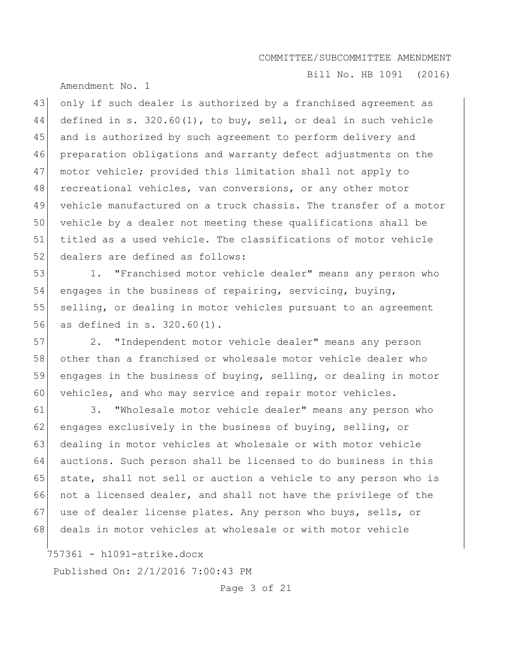Bill No. HB 1091 (2016)

Amendment No. 1

 only if such dealer is authorized by a franchised agreement as defined in s. 320.60(1), to buy, sell, or deal in such vehicle 45 and is authorized by such agreement to perform delivery and preparation obligations and warranty defect adjustments on the motor vehicle; provided this limitation shall not apply to 48 recreational vehicles, van conversions, or any other motor vehicle manufactured on a truck chassis. The transfer of a motor vehicle by a dealer not meeting these qualifications shall be titled as a used vehicle. The classifications of motor vehicle 52 dealers are defined as follows:

53 1. "Franchised motor vehicle dealer" means any person who 54 engages in the business of repairing, servicing, buying, 55 selling, or dealing in motor vehicles pursuant to an agreement 56 as defined in s. 320.60(1).

57 2. "Independent motor vehicle dealer" means any person 58 other than a franchised or wholesale motor vehicle dealer who 59 engages in the business of buying, selling, or dealing in motor 60 vehicles, and who may service and repair motor vehicles.

61 3. "Wholesale motor vehicle dealer" means any person who 62 engages exclusively in the business of buying, selling, or 63 dealing in motor vehicles at wholesale or with motor vehicle 64 auctions. Such person shall be licensed to do business in this 65 state, shall not sell or auction a vehicle to any person who is 66 not a licensed dealer, and shall not have the privilege of the 67 use of dealer license plates. Any person who buys, sells, or 68 deals in motor vehicles at wholesale or with motor vehicle

757361 - h1091-strike.docx

Published On: 2/1/2016 7:00:43 PM

Page 3 of 21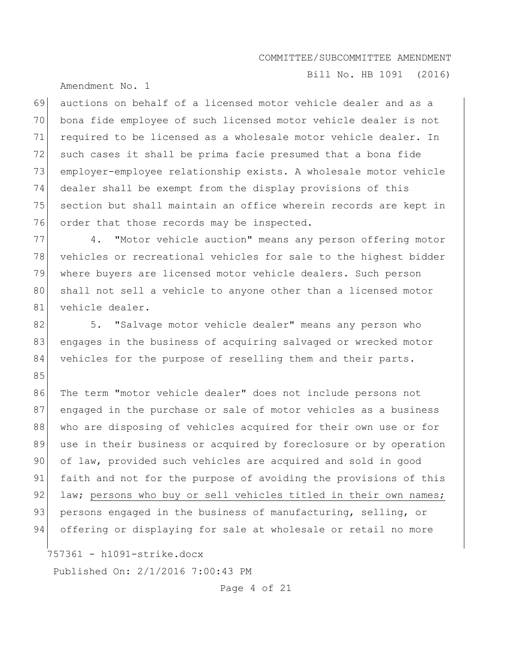Amendment No. 1

Bill No. HB 1091 (2016)

69 auctions on behalf of a licensed motor vehicle dealer and as a 70 bona fide employee of such licensed motor vehicle dealer is not 71 required to be licensed as a wholesale motor vehicle dealer. In 72 such cases it shall be prima facie presumed that a bona fide 73 employer-employee relationship exists. A wholesale motor vehicle 74 dealer shall be exempt from the display provisions of this 75 section but shall maintain an office wherein records are kept in 76 order that those records may be inspected.

77 4. "Motor vehicle auction" means any person offering motor 78 vehicles or recreational vehicles for sale to the highest bidder 79 where buyers are licensed motor vehicle dealers. Such person 80 shall not sell a vehicle to anyone other than a licensed motor 81 vehicle dealer.

82 5. "Salvage motor vehicle dealer" means any person who 83 engages in the business of acquiring salvaged or wrecked motor 84 vehicles for the purpose of reselling them and their parts. 85

86 The term "motor vehicle dealer" does not include persons not 87 engaged in the purchase or sale of motor vehicles as a business 88 who are disposing of vehicles acquired for their own use or for 89 use in their business or acquired by foreclosure or by operation 90 of law, provided such vehicles are acquired and sold in good 91 faith and not for the purpose of avoiding the provisions of this 92 law; persons who buy or sell vehicles titled in their own names; 93 persons engaged in the business of manufacturing, selling, or 94 offering or displaying for sale at wholesale or retail no more

757361 - h1091-strike.docx

Published On: 2/1/2016 7:00:43 PM

Page 4 of 21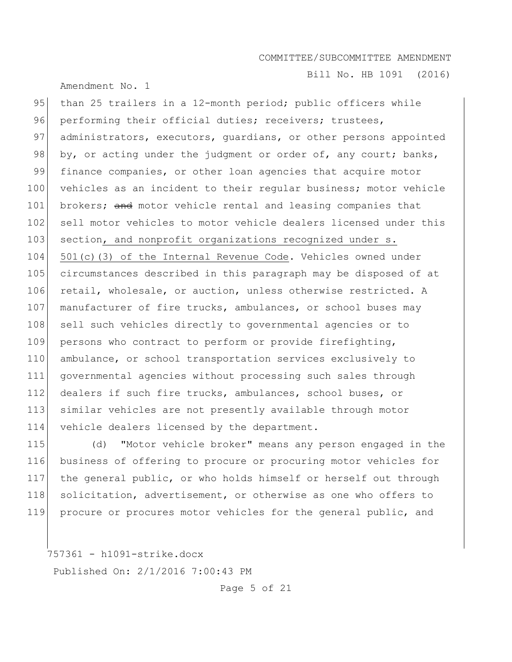Amendment No. 1

Bill No. HB 1091 (2016)

95 than 25 trailers in a 12-month period; public officers while 96 performing their official duties; receivers; trustees, 97 administrators, executors, guardians, or other persons appointed 98 by, or acting under the judgment or order of, any court; banks, 99 finance companies, or other loan agencies that acquire motor 100 vehicles as an incident to their regular business; motor vehicle 101 brokers; and motor vehicle rental and leasing companies that 102 sell motor vehicles to motor vehicle dealers licensed under this 103 section, and nonprofit organizations recognized under s. 104 501(c)(3) of the Internal Revenue Code. Vehicles owned under 105 circumstances described in this paragraph may be disposed of at 106 retail, wholesale, or auction, unless otherwise restricted. A 107 manufacturer of fire trucks, ambulances, or school buses may 108 sell such vehicles directly to governmental agencies or to 109 persons who contract to perform or provide firefighting, 110 ambulance, or school transportation services exclusively to 111 governmental agencies without processing such sales through 112 dealers if such fire trucks, ambulances, school buses, or 113 similar vehicles are not presently available through motor 114 vehicle dealers licensed by the department.

 (d) "Motor vehicle broker" means any person engaged in the business of offering to procure or procuring motor vehicles for the general public, or who holds himself or herself out through 118 solicitation, advertisement, or otherwise as one who offers to procure or procures motor vehicles for the general public, and

757361 - h1091-strike.docx Published On: 2/1/2016 7:00:43 PM

Page 5 of 21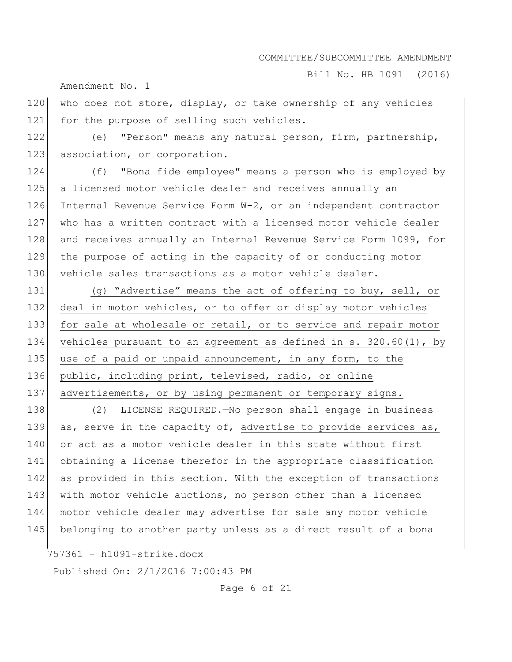Bill No. HB 1091 (2016)

Amendment No. 1

120 who does not store, display, or take ownership of any vehicles 121 for the purpose of selling such vehicles.

122 (e) "Person" means any natural person, firm, partnership, 123 association, or corporation.

124 (f) "Bona fide employee" means a person who is employed by 125 a licensed motor vehicle dealer and receives annually an 126 Internal Revenue Service Form W-2, or an independent contractor 127 who has a written contract with a licensed motor vehicle dealer 128 and receives annually an Internal Revenue Service Form 1099, for 129 the purpose of acting in the capacity of or conducting motor 130 vehicle sales transactions as a motor vehicle dealer.

131 (g) "Advertise" means the act of offering to buy, sell, or 132 deal in motor vehicles, or to offer or display motor vehicles 133 for sale at wholesale or retail, or to service and repair motor 134 vehicles pursuant to an agreement as defined in s. 320.60(1), by 135 use of a paid or unpaid announcement, in any form, to the 136 public, including print, televised, radio, or online 137 advertisements, or by using permanent or temporary signs.

138 (2) LICENSE REQUIRED.—No person shall engage in business 139 as, serve in the capacity of, advertise to provide services as, 140 or act as a motor vehicle dealer in this state without first 141 obtaining a license therefor in the appropriate classification 142 as provided in this section. With the exception of transactions 143 with motor vehicle auctions, no person other than a licensed 144 motor vehicle dealer may advertise for sale any motor vehicle 145 belonging to another party unless as a direct result of a bona

757361 - h1091-strike.docx

Published On: 2/1/2016 7:00:43 PM

Page 6 of 21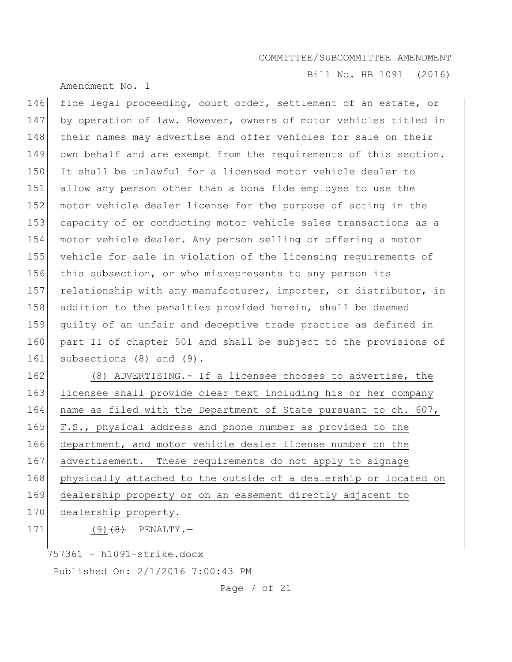Amendment No. 1

Bill No. HB 1091 (2016)

146 fide legal proceeding, court order, settlement of an estate, or 147 by operation of law. However, owners of motor vehicles titled in 148 their names may advertise and offer vehicles for sale on their 149 own behalf and are exempt from the requirements of this section. 150 It shall be unlawful for a licensed motor vehicle dealer to 151 allow any person other than a bona fide employee to use the 152 motor vehicle dealer license for the purpose of acting in the 153 capacity of or conducting motor vehicle sales transactions as a 154 motor vehicle dealer. Any person selling or offering a motor 155 vehicle for sale in violation of the licensing requirements of 156 this subsection, or who misrepresents to any person its 157 relationship with any manufacturer, importer, or distributor, in 158 addition to the penalties provided herein, shall be deemed 159 guilty of an unfair and deceptive trade practice as defined in 160 part II of chapter 501 and shall be subject to the provisions of 161 subsections (8) and (9). 162 (8) ADVERTISING.- If a licensee chooses to advertise, the

163 licensee shall provide clear text including his or her company 164 name as filed with the Department of State pursuant to ch. 607, 165 F.S., physical address and phone number as provided to the 166 department, and motor vehicle dealer license number on the 167 advertisement. These requirements do not apply to signage 168 physically attached to the outside of a dealership or located on 169 dealership property or on an easement directly adjacent to

- 170 dealership property.
- 

171  $(9)$   $(8)$  PENALTY.

757361 - h1091-strike.docx

Published On: 2/1/2016 7:00:43 PM

Page 7 of 21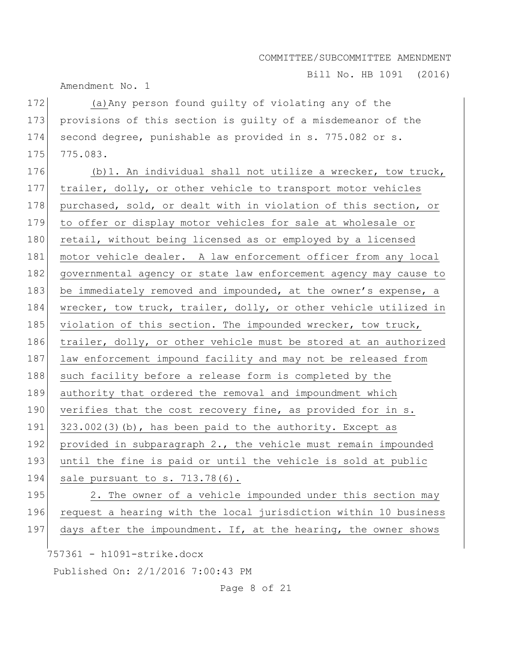Bill No. HB 1091 (2016)

Amendment No. 1

172 (a) Any person found quilty of violating any of the 173 provisions of this section is guilty of a misdemeanor of the 174 second degree, punishable as provided in s. 775.082 or s. 175 775.083.

176  $(b)$ 1. An individual shall not utilize a wrecker, tow truck, 177 trailer, dolly, or other vehicle to transport motor vehicles 178 purchased, sold, or dealt with in violation of this section, or 179 to offer or display motor vehicles for sale at wholesale or 180 retail, without being licensed as or employed by a licensed 181 motor vehicle dealer. A law enforcement officer from any local 182 governmental agency or state law enforcement agency may cause to 183 be immediately removed and impounded, at the owner's expense, a 184 wrecker, tow truck, trailer, dolly, or other vehicle utilized in 185 violation of this section. The impounded wrecker, tow truck, 186 trailer, dolly, or other vehicle must be stored at an authorized 187 law enforcement impound facility and may not be released from 188 such facility before a release form is completed by the 189 authority that ordered the removal and impoundment which 190 verifies that the cost recovery fine, as provided for in s. 191  $323.002(3)(b)$ , has been paid to the authority. Except as 192 provided in subparagraph 2., the vehicle must remain impounded 193 until the fine is paid or until the vehicle is sold at public 194 sale pursuant to s. 713.78(6). 195 2. The owner of a vehicle impounded under this section may 196 request a hearing with the local jurisdiction within 10 business 197 days after the impoundment. If, at the hearing, the owner shows

757361 - h1091-strike.docx

Published On: 2/1/2016 7:00:43 PM

Page 8 of 21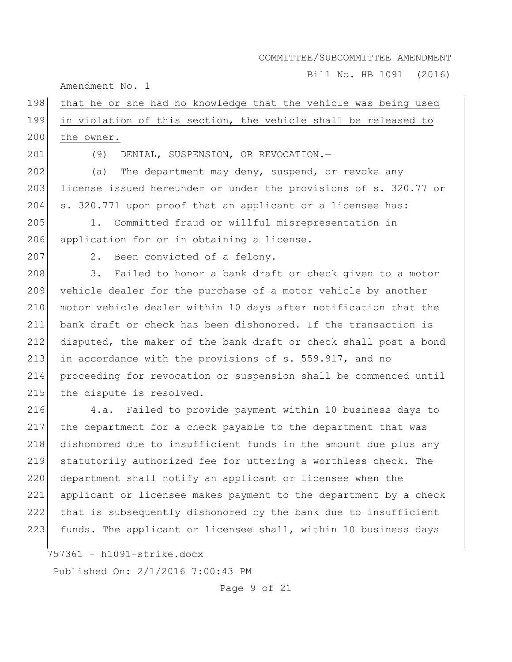Bill No. HB 1091 (2016)

Amendment No. 1

# 198 that he or she had no knowledge that the vehicle was being used 199 in violation of this section, the vehicle shall be released to 200 the owner.

201 (9) DENIAL, SUSPENSION, OR REVOCATION.—

202 (a) The department may deny, suspend, or revoke any 203 license issued hereunder or under the provisions of s. 320.77 or 204 s. 320.771 upon proof that an applicant or a licensee has:

205 1. Committed fraud or willful misrepresentation in 206 application for or in obtaining a license.

207 2. Been convicted of a felony.

208 3. Failed to honor a bank draft or check given to a motor 209 vehicle dealer for the purchase of a motor vehicle by another 210 motor vehicle dealer within 10 days after notification that the 211 bank draft or check has been dishonored. If the transaction is 212 disputed, the maker of the bank draft or check shall post a bond 213 in accordance with the provisions of s. 559.917, and no 214 proceeding for revocation or suspension shall be commenced until 215 the dispute is resolved.

 4.a. Failed to provide payment within 10 business days to the department for a check payable to the department that was dishonored due to insufficient funds in the amount due plus any statutorily authorized fee for uttering a worthless check. The 220 department shall notify an applicant or licensee when the applicant or licensee makes payment to the department by a check that is subsequently dishonored by the bank due to insufficient funds. The applicant or licensee shall, within 10 business days

757361 - h1091-strike.docx

Published On: 2/1/2016 7:00:43 PM

Page 9 of 21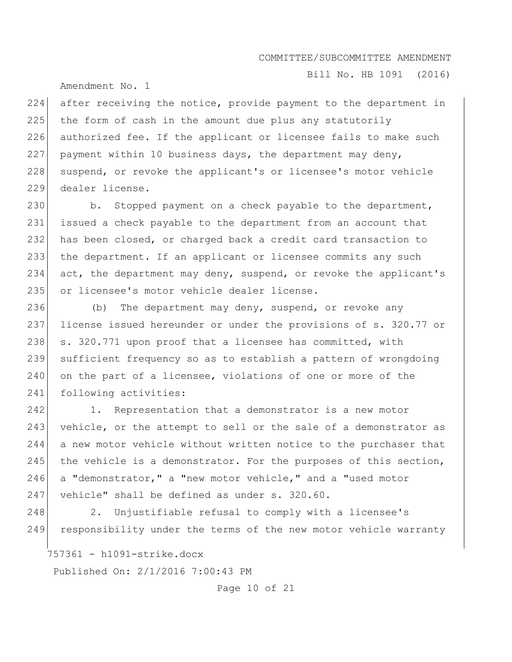Bill No. HB 1091 (2016)

Amendment No. 1

224 after receiving the notice, provide payment to the department in 225 the form of cash in the amount due plus any statutorily 226 authorized fee. If the applicant or licensee fails to make such 227 payment within 10 business days, the department may deny, 228 | suspend, or revoke the applicant's or licensee's motor vehicle 229 dealer license.

230 b. Stopped payment on a check payable to the department, 231 issued a check payable to the department from an account that 232 has been closed, or charged back a credit card transaction to 233 the department. If an applicant or licensee commits any such 234 act, the department may deny, suspend, or revoke the applicant's 235 or licensee's motor vehicle dealer license.

236 (b) The department may deny, suspend, or revoke any 237 license issued hereunder or under the provisions of s. 320.77 or 238 s. 320.771 upon proof that a licensee has committed, with 239 sufficient frequency so as to establish a pattern of wrongdoing 240 on the part of a licensee, violations of one or more of the 241 following activities:

242 1. Representation that a demonstrator is a new motor 243 vehicle, or the attempt to sell or the sale of a demonstrator as 244 a new motor vehicle without written notice to the purchaser that 245 the vehicle is a demonstrator. For the purposes of this section, 246 a "demonstrator," a "new motor vehicle," and a "used motor 247 vehicle" shall be defined as under  $s. 320.60$ .

248 2. Unjustifiable refusal to comply with a licensee's 249 responsibility under the terms of the new motor vehicle warranty

757361 - h1091-strike.docx

Published On: 2/1/2016 7:00:43 PM

Page 10 of 21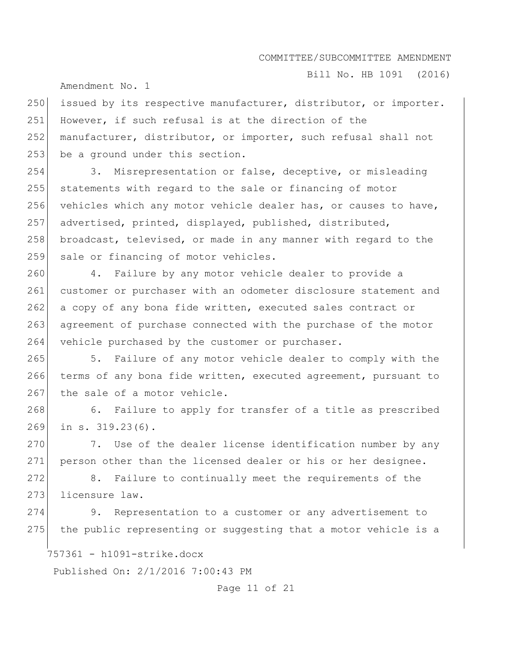Bill No. HB 1091 (2016)

Amendment No. 1

250 issued by its respective manufacturer, distributor, or importer. 251 However, if such refusal is at the direction of the 252 manufacturer, distributor, or importer, such refusal shall not 253 be a ground under this section.

254 3. Misrepresentation or false, deceptive, or misleading 255 statements with regard to the sale or financing of motor 256 vehicles which any motor vehicle dealer has, or causes to have, 257 advertised, printed, displayed, published, distributed, 258 broadcast, televised, or made in any manner with regard to the 259 sale or financing of motor vehicles.

260 4. Failure by any motor vehicle dealer to provide a 261 customer or purchaser with an odometer disclosure statement and 262 a copy of any bona fide written, executed sales contract or 263 agreement of purchase connected with the purchase of the motor 264 vehicle purchased by the customer or purchaser.

265 5. Failure of any motor vehicle dealer to comply with the 266 terms of any bona fide written, executed agreement, pursuant to 267 the sale of a motor vehicle.

268 6. Failure to apply for transfer of a title as prescribed 269 in s. 319.23(6).

270 7. Use of the dealer license identification number by any 271 person other than the licensed dealer or his or her designee.

272 8. Failure to continually meet the requirements of the 273 licensure law.

274 9. Representation to a customer or any advertisement to  $275$  the public representing or suggesting that a motor vehicle is a

757361 - h1091-strike.docx

Published On: 2/1/2016 7:00:43 PM

Page 11 of 21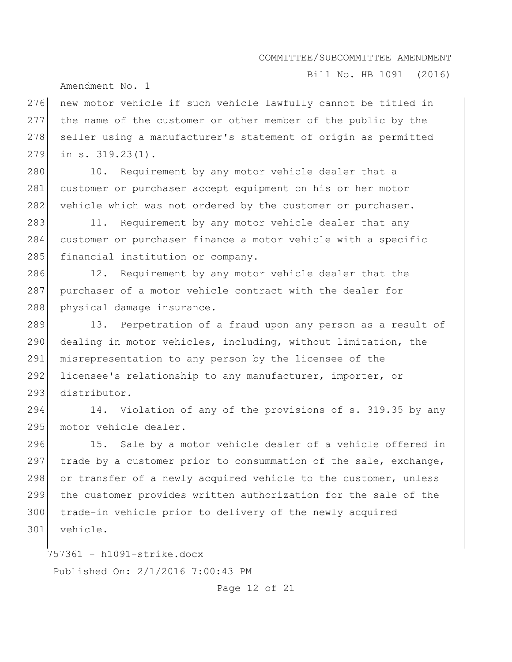Bill No. HB 1091 (2016)

Amendment No. 1

276 new motor vehicle if such vehicle lawfully cannot be titled in 277 the name of the customer or other member of the public by the 278 seller using a manufacturer's statement of origin as permitted 279 in s. 319.23(1).

280 10. Requirement by any motor vehicle dealer that a 281 customer or purchaser accept equipment on his or her motor 282 vehicle which was not ordered by the customer or purchaser.

283 11. Requirement by any motor vehicle dealer that any 284 customer or purchaser finance a motor vehicle with a specific 285 financial institution or company.

286 12. Requirement by any motor vehicle dealer that the 287 purchaser of a motor vehicle contract with the dealer for 288 physical damage insurance.

289 13. Perpetration of a fraud upon any person as a result of 290 dealing in motor vehicles, including, without limitation, the 291 misrepresentation to any person by the licensee of the 292 licensee's relationship to any manufacturer, importer, or 293 distributor.

294 14. Violation of any of the provisions of s. 319.35 by any 295 motor vehicle dealer.

296 15. Sale by a motor vehicle dealer of a vehicle offered in 297  $\vert$  trade by a customer prior to consummation of the sale, exchange, 298 or transfer of a newly acquired vehicle to the customer, unless 299 the customer provides written authorization for the sale of the 300 trade-in vehicle prior to delivery of the newly acquired 301 vehicle.

757361 - h1091-strike.docx Published On: 2/1/2016 7:00:43 PM

Page 12 of 21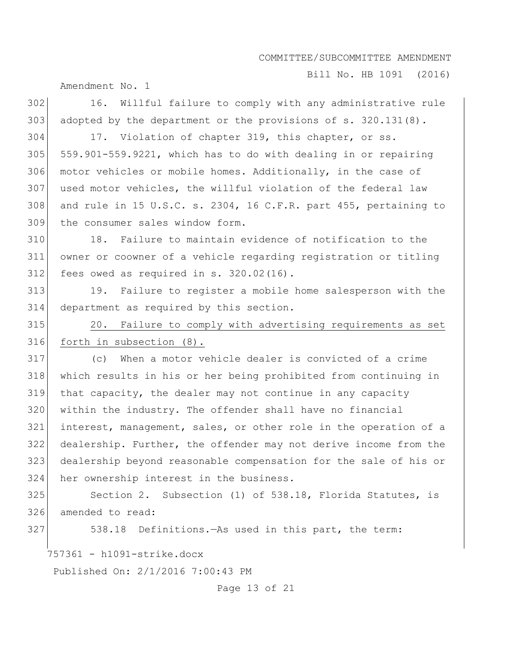Bill No. HB 1091 (2016)

Amendment No. 1

757361 - h1091-strike.docx Published On: 2/1/2016 7:00:43 PM 302 16. Willful failure to comply with any administrative rule 303 adopted by the department or the provisions of  $s. 320.131(8)$ . 304 17. Violation of chapter 319, this chapter, or ss.  $305$  559.901-559.9221, which has to do with dealing in or repairing 306 motor vehicles or mobile homes. Additionally, in the case of 307 used motor vehicles, the willful violation of the federal law 308 and rule in 15 U.S.C. s. 2304, 16 C.F.R. part 455, pertaining to 309 the consumer sales window form. 310 18. Failure to maintain evidence of notification to the 311 owner or coowner of a vehicle regarding registration or titling  $312$  fees owed as required in s.  $320.02(16)$ . 313 19. Failure to register a mobile home salesperson with the 314 department as required by this section. 315 20. Failure to comply with advertising requirements as set 316 forth in subsection (8). 317 (c) When a motor vehicle dealer is convicted of a crime 318 which results in his or her being prohibited from continuing in 319 that capacity, the dealer may not continue in any capacity 320 within the industry. The offender shall have no financial 321 interest, management, sales, or other role in the operation of a 322 dealership. Further, the offender may not derive income from the 323 dealership beyond reasonable compensation for the sale of his or 324 her ownership interest in the business. 325 Section 2. Subsection (1) of 538.18, Florida Statutes, is 326 amended to read: 327 538.18 Definitions.—As used in this part, the term:

Page 13 of 21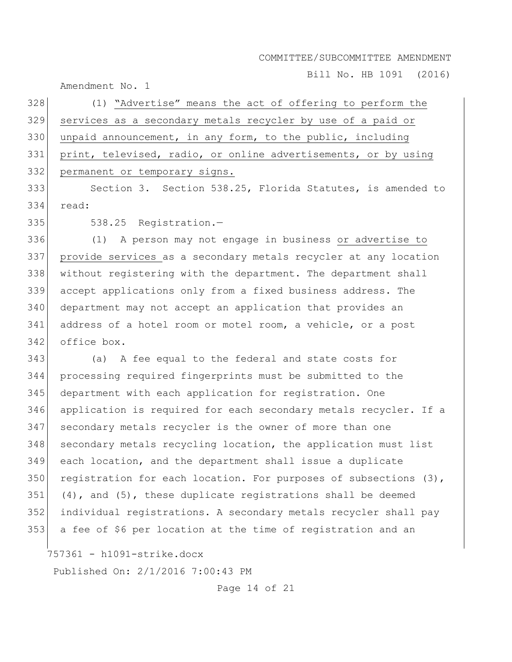Bill No. HB 1091 (2016)

Amendment No. 1

| 328 | (1) "Advertise" means the act of offering to perform the           |
|-----|--------------------------------------------------------------------|
| 329 | services as a secondary metals recycler by use of a paid or        |
|     | 330 unpaid announcement, in any form, to the public, including     |
|     | 331 print, televised, radio, or online advertisements, or by using |
|     | 332 permanent or temporary signs.                                  |

 Section 3. Section 538.25, Florida Statutes, is amended to read:

335 538.25 Reqistration.-

 (1) A person may not engage in business or advertise to provide services as a secondary metals recycler at any location without registering with the department. The department shall accept applications only from a fixed business address. The department may not accept an application that provides an address of a hotel room or motel room, a vehicle, or a post office box.

 (a) A fee equal to the federal and state costs for processing required fingerprints must be submitted to the department with each application for registration. One application is required for each secondary metals recycler. If a 347 secondary metals recycler is the owner of more than one 348 secondary metals recycling location, the application must list each location, and the department shall issue a duplicate 350 registration for each location. For purposes of subsections (3), (4), and (5), these duplicate registrations shall be deemed individual registrations. A secondary metals recycler shall pay a fee of \$6 per location at the time of registration and an

757361 - h1091-strike.docx

Published On: 2/1/2016 7:00:43 PM

Page 14 of 21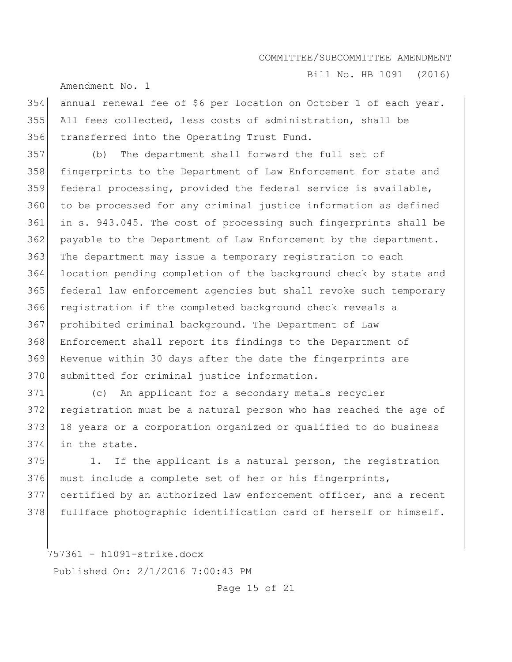Bill No. HB 1091 (2016)

Amendment No. 1

354 annual renewal fee of \$6 per location on October 1 of each year. 355 All fees collected, less costs of administration, shall be 356 transferred into the Operating Trust Fund.

 (b) The department shall forward the full set of 358 fingerprints to the Department of Law Enforcement for state and 359 federal processing, provided the federal service is available, to be processed for any criminal justice information as defined in s. 943.045. The cost of processing such fingerprints shall be 362 payable to the Department of Law Enforcement by the department. The department may issue a temporary registration to each location pending completion of the background check by state and federal law enforcement agencies but shall revoke such temporary 366 registration if the completed background check reveals a prohibited criminal background. The Department of Law Enforcement shall report its findings to the Department of Revenue within 30 days after the date the fingerprints are 370 submitted for criminal justice information.

 (c) An applicant for a secondary metals recycler registration must be a natural person who has reached the age of 373 18 years or a corporation organized or qualified to do business in the state.

375 1. If the applicant is a natural person, the registration 376 must include a complete set of her or his fingerprints, 377 certified by an authorized law enforcement officer, and a recent 378 fullface photographic identification card of herself or himself.

757361 - h1091-strike.docx Published On: 2/1/2016 7:00:43 PM

Page 15 of 21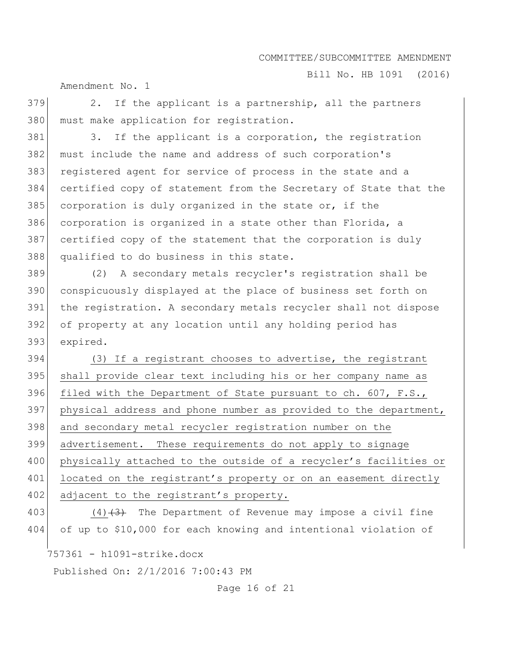Bill No. HB 1091 (2016)

Amendment No. 1

 $379$  2. If the applicant is a partnership, all the partners 380 must make application for registration.

381 3. If the applicant is a corporation, the registration 382 must include the name and address of such corporation's 383 registered agent for service of process in the state and a 384 certified copy of statement from the Secretary of State that the 385 corporation is duly organized in the state or, if the 386 corporation is organized in a state other than Florida, a 387 certified copy of the statement that the corporation is duly 388 qualified to do business in this state.

 (2) A secondary metals recycler's registration shall be conspicuously displayed at the place of business set forth on the registration. A secondary metals recycler shall not dispose of property at any location until any holding period has 393 expired.

394 (3) If a registrant chooses to advertise, the registrant 395 | shall provide clear text including his or her company name as 396 filed with the Department of State pursuant to ch. 607, F.S., 397 physical address and phone number as provided to the department, 398 and secondary metal recycler registration number on the 399 advertisement. These requirements do not apply to signage 400 physically attached to the outside of a recycler's facilities or 401 located on the registrant's property or on an easement directly 402 adjacent to the registrant's property.

403 (4)<del>(3)</del> The Department of Revenue may impose a civil fine 404 of up to \$10,000 for each knowing and intentional violation of

757361 - h1091-strike.docx

Published On: 2/1/2016 7:00:43 PM

Page 16 of 21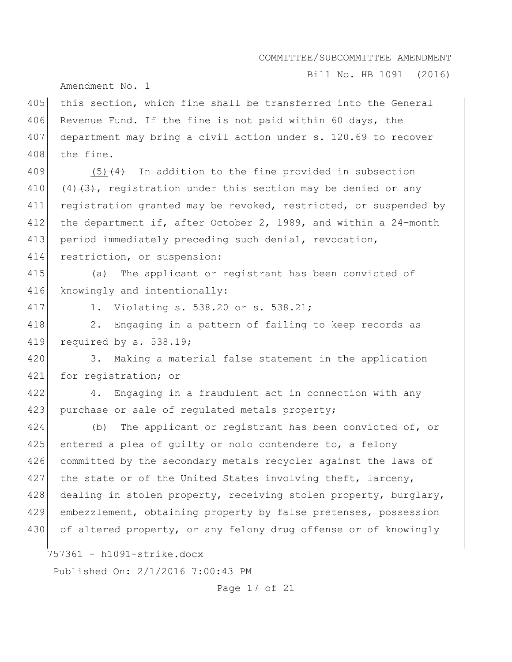Bill No. HB 1091 (2016)

Amendment No. 1

405 this section, which fine shall be transferred into the General 406 Revenue Fund. If the fine is not paid within 60 days, the 407 department may bring a civil action under s. 120.69 to recover 408 the fine.

409  $(5)$   $(4)$  In addition to the fine provided in subsection 410 (4)  $(3)$ , registration under this section may be denied or any 411 registration granted may be revoked, restricted, or suspended by 412 the department if, after October 2, 1989, and within a 24-month 413 period immediately preceding such denial, revocation, 414 restriction, or suspension:

415 (a) The applicant or registrant has been convicted of 416 knowingly and intentionally:

417 1. Violating s. 538.20 or s. 538.21;

418 2. Engaging in a pattern of failing to keep records as 419 required by s. 538.19;

420 3. Making a material false statement in the application 421 for registration; or

422 4. Engaging in a fraudulent act in connection with any 423 purchase or sale of regulated metals property;

424 (b) The applicant or registrant has been convicted of, or 425 entered a plea of quilty or nolo contendere to, a felony 426 committed by the secondary metals recycler against the laws of 427 the state or of the United States involving theft, larceny, 428 dealing in stolen property, receiving stolen property, burglary, 429 embezzlement, obtaining property by false pretenses, possession 430 of altered property, or any felony drug offense or of knowingly

757361 - h1091-strike.docx

Published On: 2/1/2016 7:00:43 PM

Page 17 of 21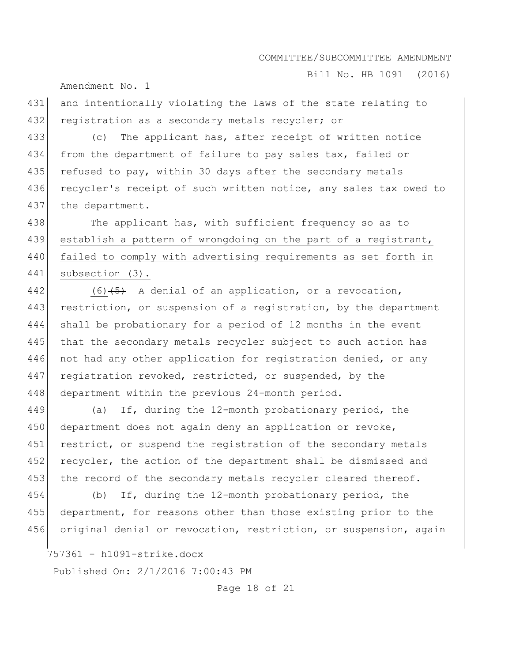Bill No. HB 1091 (2016)

Amendment No. 1

431 and intentionally violating the laws of the state relating to 432 registration as a secondary metals recycler; or

433 (c) The applicant has, after receipt of written notice 434 from the department of failure to pay sales tax, failed or 435 refused to pay, within 30 days after the secondary metals 436 recycler's receipt of such written notice, any sales tax owed to 437 the department.

438 The applicant has, with sufficient frequency so as to 439 establish a pattern of wrongdoing on the part of a registrant, 440 failed to comply with advertising requirements as set forth in 441 subsection (3).

442 (6)  $\left(5\right)$  A denial of an application, or a revocation, 443 restriction, or suspension of a registration, by the department 444 shall be probationary for a period of 12 months in the event 445 that the secondary metals recycler subject to such action has 446 not had any other application for registration denied, or any 447 registration revoked, restricted, or suspended, by the 448 department within the previous 24-month period.

449 (a) If, during the 12-month probationary period, the 450 department does not again deny an application or revoke, 451 restrict, or suspend the registration of the secondary metals 452 recycler, the action of the department shall be dismissed and 453 the record of the secondary metals recycler cleared thereof.

454 (b) If, during the 12-month probationary period, the 455 department, for reasons other than those existing prior to the 456 original denial or revocation, restriction, or suspension, again

757361 - h1091-strike.docx

Published On: 2/1/2016 7:00:43 PM

Page 18 of 21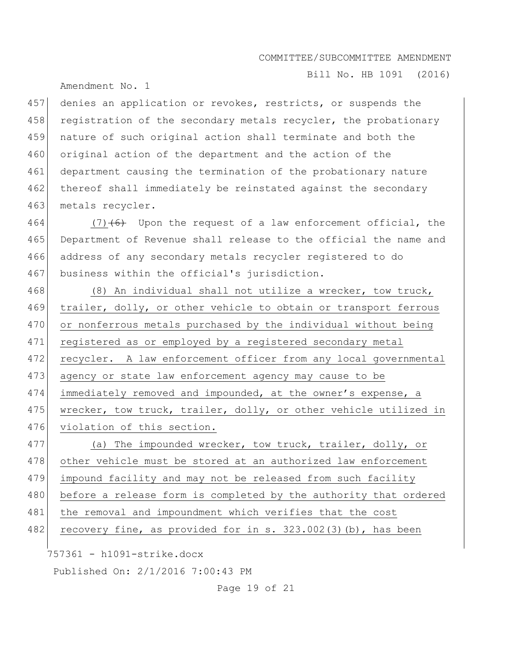Bill No. HB 1091 (2016)

Amendment No. 1

457 denies an application or revokes, restricts, or suspends the 458 registration of the secondary metals recycler, the probationary 459 nature of such original action shall terminate and both the 460 original action of the department and the action of the 461 department causing the termination of the probationary nature 462 thereof shall immediately be reinstated against the secondary 463 metals recycler.

464 (7)<del>(6)</del> Upon the request of a law enforcement official, the 465 Department of Revenue shall release to the official the name and 466 address of any secondary metals recycler registered to do 467 business within the official's jurisdiction.

468 (8) An individual shall not utilize a wrecker, tow truck, 469 trailer, dolly, or other vehicle to obtain or transport ferrous 470 or nonferrous metals purchased by the individual without being 471 registered as or employed by a registered secondary metal 472 recycler. A law enforcement officer from any local governmental 473 agency or state law enforcement agency may cause to be 474 immediately removed and impounded, at the owner's expense, a 475 wrecker, tow truck, trailer, dolly, or other vehicle utilized in 476 violation of this section.

477 (a) The impounded wrecker, tow truck, trailer, dolly, or 478 other vehicle must be stored at an authorized law enforcement 479 impound facility and may not be released from such facility 480 before a release form is completed by the authority that ordered 481 the removal and impoundment which verifies that the cost 482 recovery fine, as provided for in s.  $323.002(3)(b)$ , has been

757361 - h1091-strike.docx

Published On: 2/1/2016 7:00:43 PM

Page 19 of 21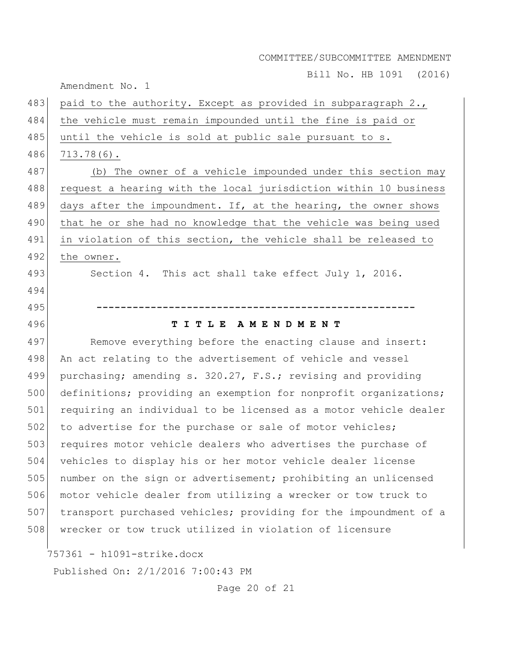Bill No. HB 1091 (2016)

Amendment No. 1 757361 - h1091-strike.docx Published On: 2/1/2016 7:00:43 PM 483 paid to the authority. Except as provided in subparagraph 2., 484 the vehicle must remain impounded until the fine is paid or 485 until the vehicle is sold at public sale pursuant to s. 486 713.78(6). 487 (b) The owner of a vehicle impounded under this section may 488 request a hearing with the local jurisdiction within 10 business 489 days after the impoundment. If, at the hearing, the owner shows 490 that he or she had no knowledge that the vehicle was being used 491 in violation of this section, the vehicle shall be released to 492 the owner. 493 Section 4. This act shall take effect July 1, 2016. 494 495 **-----------------------------------------------------** 496 **T I T L E A M E N D M E N T** 497 Remove everything before the enacting clause and insert: 498 An act relating to the advertisement of vehicle and vessel 499 purchasing; amending s. 320.27, F.S.; revising and providing 500 definitions; providing an exemption for nonprofit organizations; 501 requiring an individual to be licensed as a motor vehicle dealer 502 to advertise for the purchase or sale of motor vehicles; 503 requires motor vehicle dealers who advertises the purchase of 504 vehicles to display his or her motor vehicle dealer license 505 number on the sign or advertisement; prohibiting an unlicensed 506 motor vehicle dealer from utilizing a wrecker or tow truck to 507 transport purchased vehicles; providing for the impoundment of a 508 wrecker or tow truck utilized in violation of licensure

Page 20 of 21